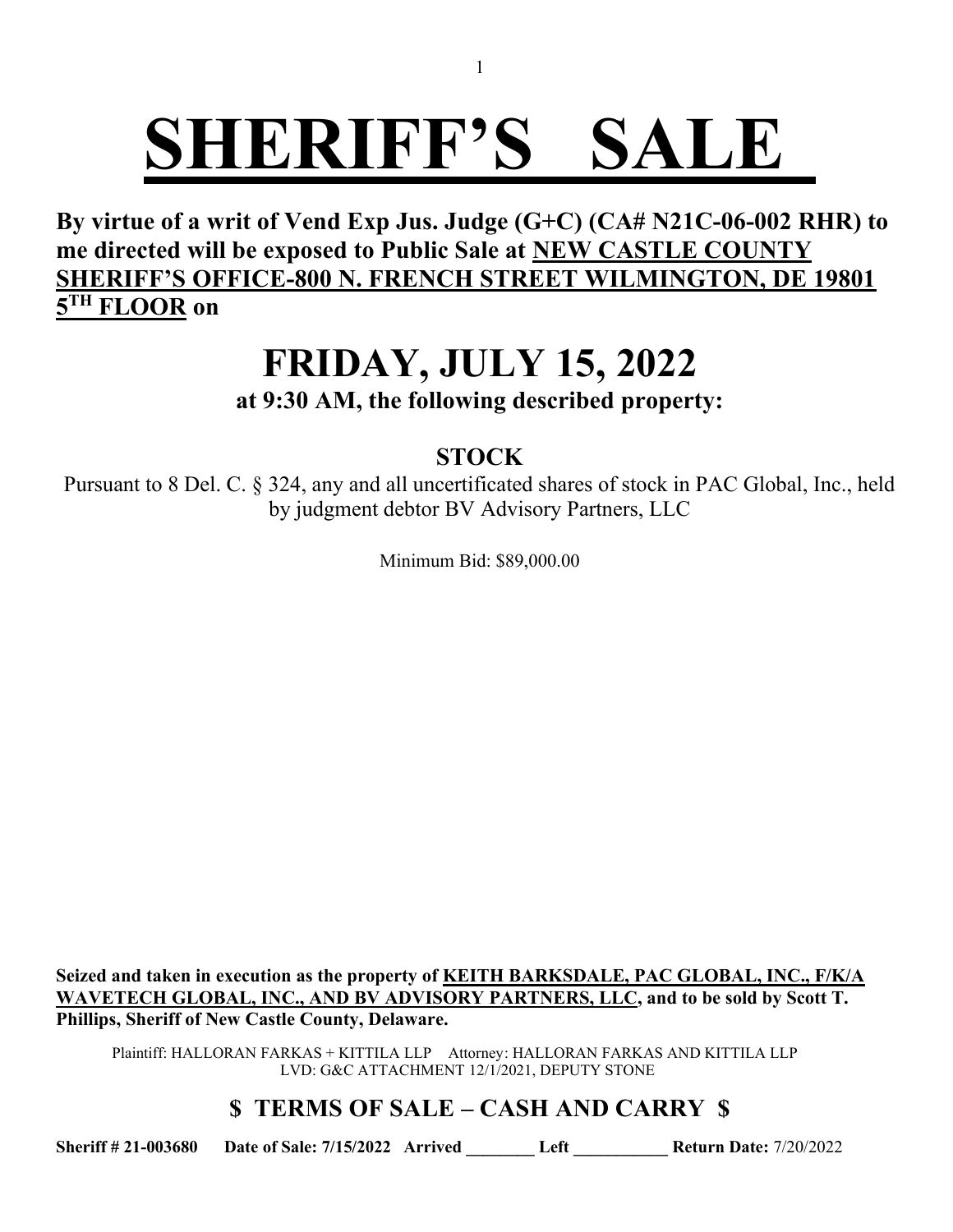**By virtue of a writ of Vend Exp Jus. Judge (G+C) (CA# N21C-06-002 RHR) to me directed will be exposed to Public Sale at NEW CASTLE COUNTY SHERIFF'S OFFICE-800 N. FRENCH STREET WILMINGTON, DE 19801 5 TH FLOOR on**

### **FRIDAY, JULY 15, 2022**

**at 9:30 AM, the following described property:**

### **STOCK**

Pursuant to 8 Del. C. § 324, any and all uncertificated shares of stock in PAC Global, Inc., held by judgment debtor BV Advisory Partners, LLC

Minimum Bid: \$89,000.00

**Seized and taken in execution as the property of KEITH BARKSDALE, PAC GLOBAL, INC., F/K/A**  WAVETECH GLOBAL, INC., AND BV ADVISORY PARTNERS, LLC, and to be sold by Scott T. **Phillips, Sheriff of New Castle County, Delaware.**

Plaintiff: HALLORAN FARKAS + KITTILA LLP Attorney: HALLORAN FARKAS AND KITTILA LLP LVD: G&C ATTACHMENT 12/1/2021, DEPUTY STONE

### **\$ TERMS OF SALE – CASH AND CARRY \$**

**Sheriff # 21-003680 Date of Sale: 7/15/2022 Arrived \_\_\_\_\_\_\_\_ Left \_\_\_\_\_\_\_\_\_\_\_ Return Date:** 7/20/2022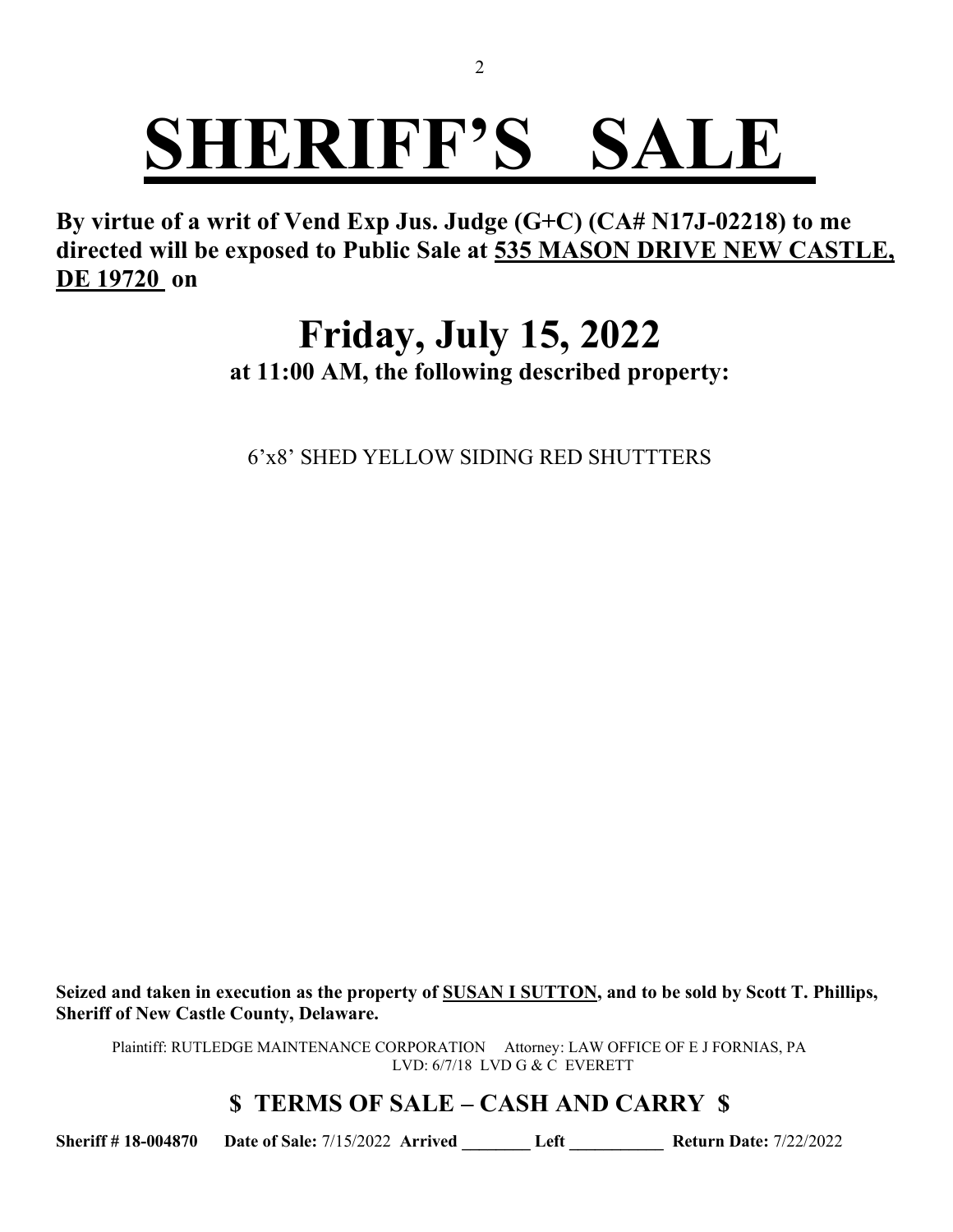**By virtue of a writ of Vend Exp Jus. Judge (G+C) (CA# N17J-02218) to me directed will be exposed to Public Sale at 535 MASON DRIVE NEW CASTLE, DE 19720 on**

### **Friday, July 15, 2022**

**at 11:00 AM, the following described property:**

6'x8' SHED YELLOW SIDING RED SHUTTTERS

**Seized and taken in execution as the property of SUSAN I SUTTON, and to be sold by Scott T. Phillips, Sheriff of New Castle County, Delaware.**

Plaintiff: RUTLEDGE MAINTENANCE CORPORATION Attorney: LAW OFFICE OF E J FORNIAS, PA LVD: 6/7/18 LVD G & C EVERETT

#### **\$ TERMS OF SALE – CASH AND CARRY \$**

**Sheriff # 18-004870 Date of Sale:** 7/15/2022 **Arrived \_\_\_\_\_\_\_\_ Left \_\_\_\_\_\_\_\_\_\_\_ Return Date:** 7/22/2022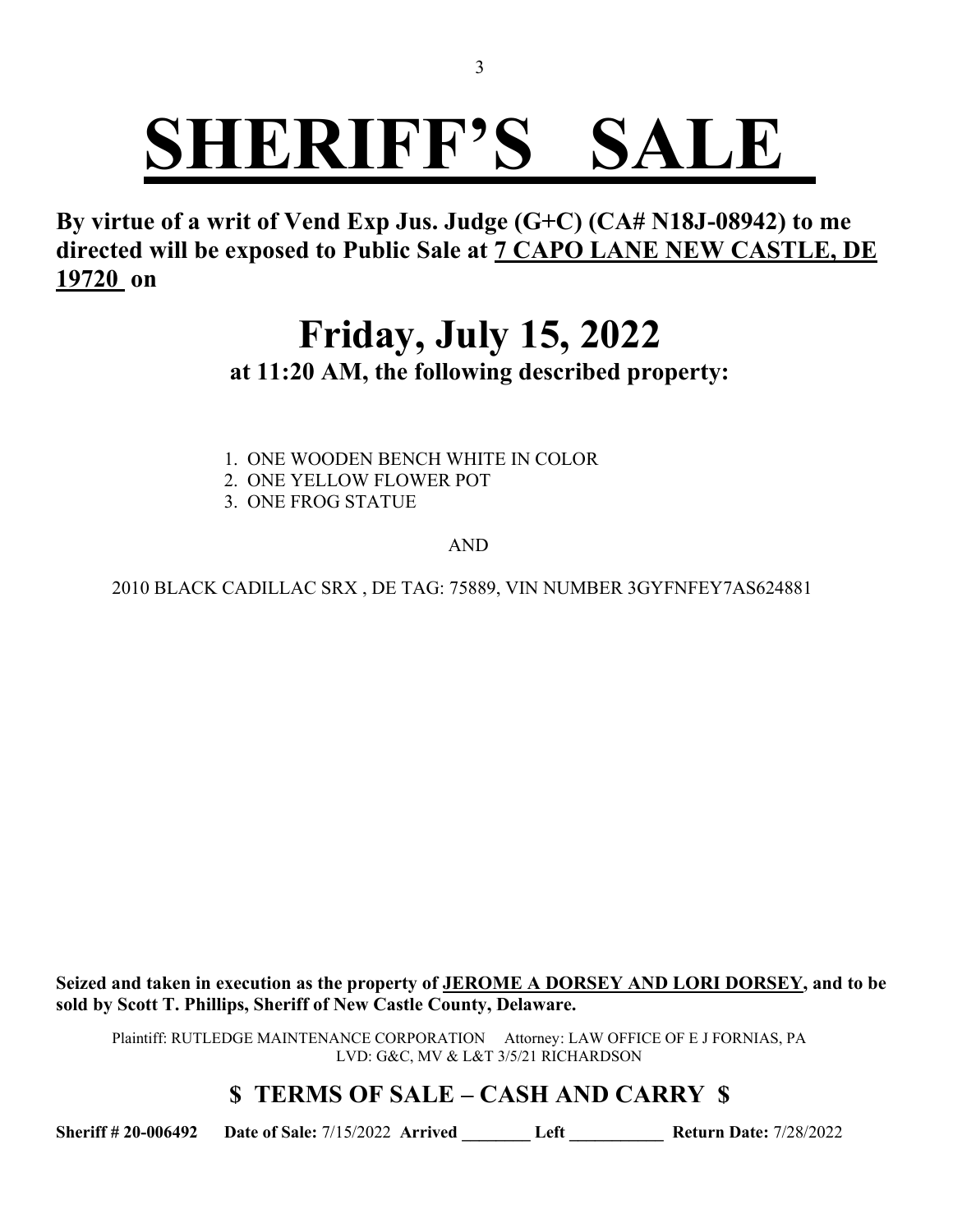**By virtue of a writ of Vend Exp Jus. Judge (G+C) (CA# N18J-08942) to me directed will be exposed to Public Sale at 7 CAPO LANE NEW CASTLE, DE 19720 on**

### **Friday, July 15, 2022 at 11:20 AM, the following described property:**

- 1. ONE WOODEN BENCH WHITE IN COLOR
- 2. ONE YELLOW FLOWER POT
- 3. ONE FROG STATUE

AND

2010 BLACK CADILLAC SRX , DE TAG: 75889, VIN NUMBER 3GYFNFEY7AS624881

**Seized and taken in execution as the property of JEROME A DORSEY AND LORI DORSEY, and to be sold by Scott T. Phillips, Sheriff of New Castle County, Delaware.**

Plaintiff: RUTLEDGE MAINTENANCE CORPORATION Attorney: LAW OFFICE OF E J FORNIAS, PA LVD: G&C, MV & L&T 3/5/21 RICHARDSON

#### **\$ TERMS OF SALE – CASH AND CARRY \$**

**Sheriff # 20-006492 Date of Sale:** 7/15/2022 **Arrived \_\_\_\_\_\_\_\_ Left \_\_\_\_\_\_\_\_\_\_\_ Return Date:** 7/28/2022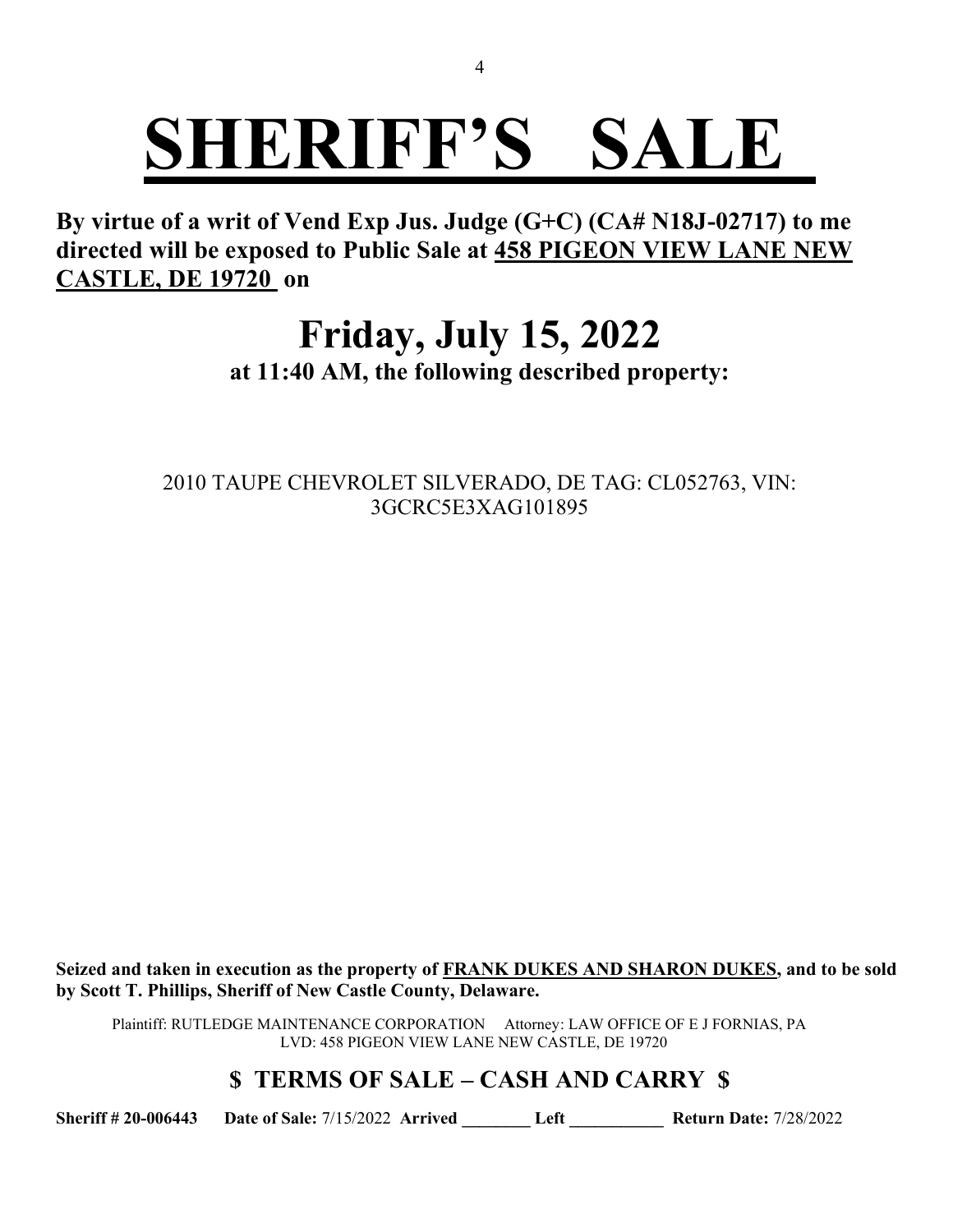**By virtue of a writ of Vend Exp Jus. Judge (G+C) (CA# N18J-02717) to me directed will be exposed to Public Sale at 458 PIGEON VIEW LANE NEW CASTLE, DE 19720 on**

### **Friday, July 15, 2022**

**at 11:40 AM, the following described property:**

2010 TAUPE CHEVROLET SILVERADO, DE TAG: CL052763, VIN: 3GCRC5E3XAG101895

**Seized and taken in execution as the property of FRANK DUKES AND SHARON DUKES, and to be sold by Scott T. Phillips, Sheriff of New Castle County, Delaware.**

Plaintiff: RUTLEDGE MAINTENANCE CORPORATION Attorney: LAW OFFICE OF E J FORNIAS, PA LVD: 458 PIGEON VIEW LANE NEW CASTLE, DE 19720

### **\$ TERMS OF SALE – CASH AND CARRY \$**

**Sheriff # 20-006443 Date of Sale:** 7/15/2022 **Arrived \_\_\_\_\_\_\_\_ Left \_\_\_\_\_\_\_\_\_\_\_ Return Date:** 7/28/2022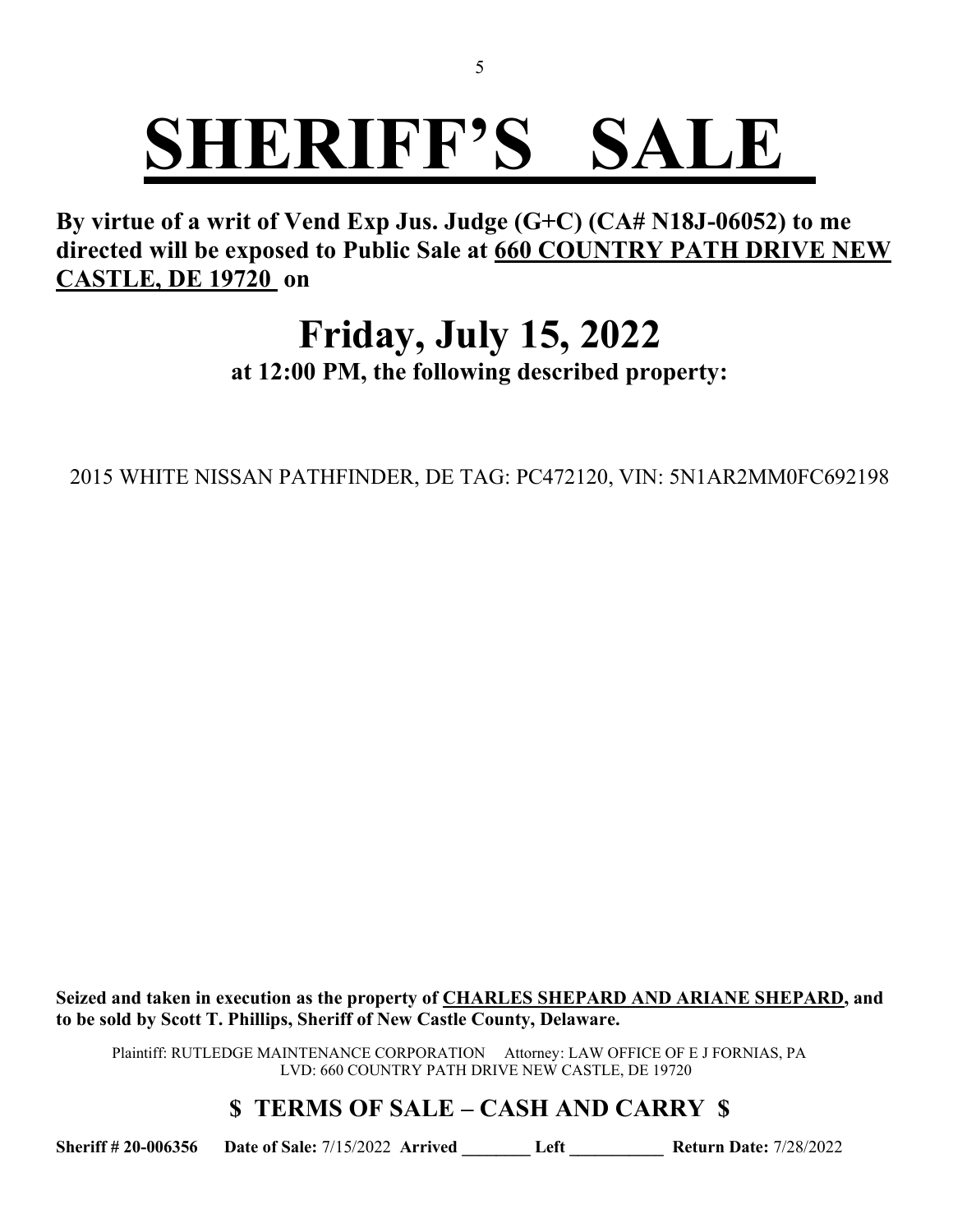**By virtue of a writ of Vend Exp Jus. Judge (G+C) (CA# N18J-06052) to me directed will be exposed to Public Sale at 660 COUNTRY PATH DRIVE NEW CASTLE, DE 19720 on**

## **Friday, July 15, 2022**

**at 12:00 PM, the following described property:**

2015 WHITE NISSAN PATHFINDER, DE TAG: PC472120, VIN: 5N1AR2MM0FC692198

**Seized and taken in execution as the property of CHARLES SHEPARD AND ARIANE SHEPARD, and to be sold by Scott T. Phillips, Sheriff of New Castle County, Delaware.**

Plaintiff: RUTLEDGE MAINTENANCE CORPORATION Attorney: LAW OFFICE OF E J FORNIAS, PA LVD: 660 COUNTRY PATH DRIVE NEW CASTLE, DE 19720

**\$ TERMS OF SALE – CASH AND CARRY \$**

**Sheriff # 20-006356 Date of Sale:** 7/15/2022 **Arrived \_\_\_\_\_\_\_\_ Left \_\_\_\_\_\_\_\_\_\_\_ Return Date:** 7/28/2022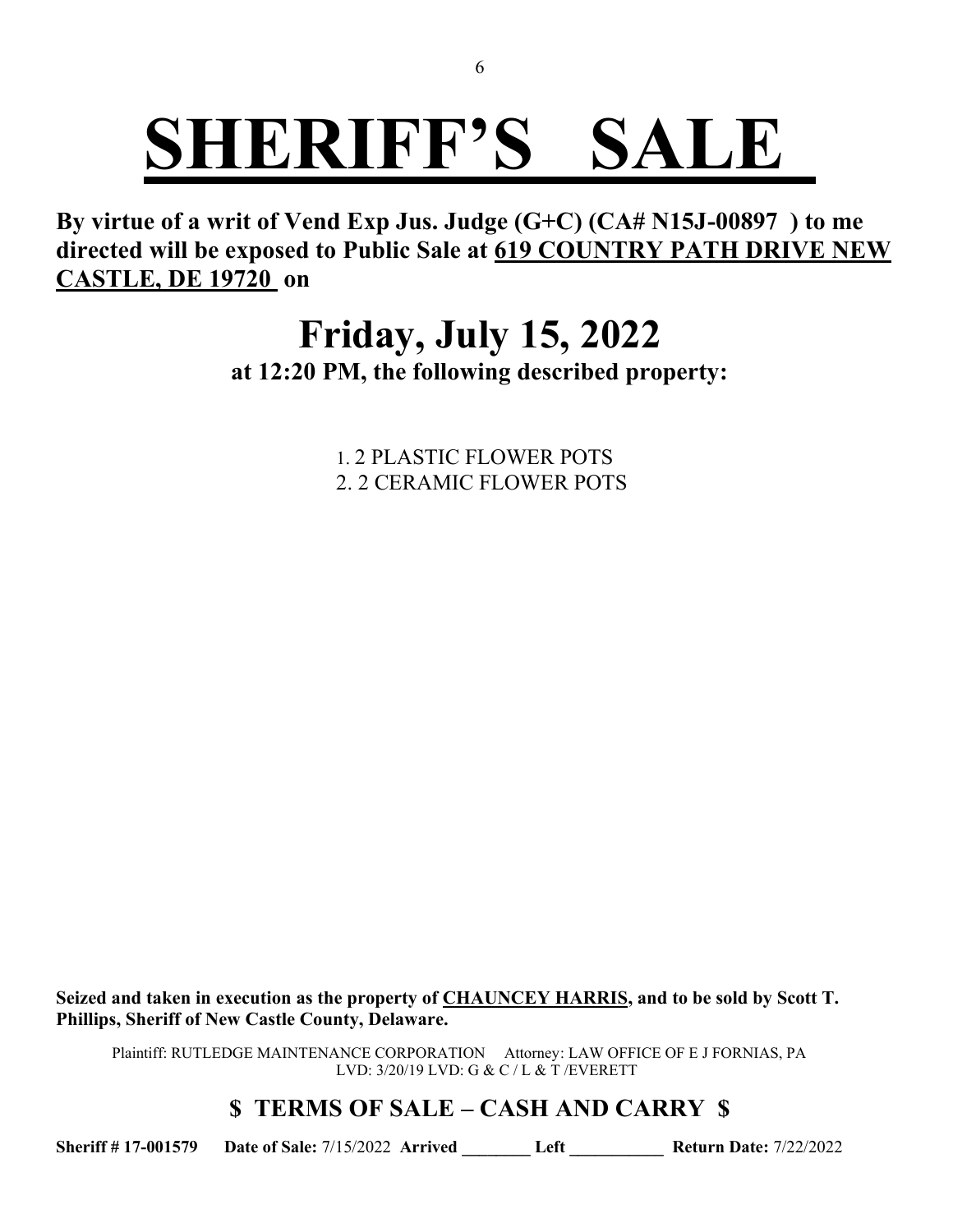**By virtue of a writ of Vend Exp Jus. Judge (G+C) (CA# N15J-00897 ) to me directed will be exposed to Public Sale at 619 COUNTRY PATH DRIVE NEW CASTLE, DE 19720 on**

### **Friday, July 15, 2022 at 12:20 PM, the following described property:**

1. 2 PLASTIC FLOWER POTS 2. 2 CERAMIC FLOWER POTS

**Seized and taken in execution as the property of CHAUNCEY HARRIS, and to be sold by Scott T. Phillips, Sheriff of New Castle County, Delaware.**

Plaintiff: RUTLEDGE MAINTENANCE CORPORATION Attorney: LAW OFFICE OF E J FORNIAS, PA LVD: 3/20/19 LVD: G & C / L & T /EVERETT

#### **\$ TERMS OF SALE – CASH AND CARRY \$**

**Sheriff # 17-001579 Date of Sale:** 7/15/2022 **Arrived \_\_\_\_\_\_\_\_ Left \_\_\_\_\_\_\_\_\_\_\_ Return Date:** 7/22/2022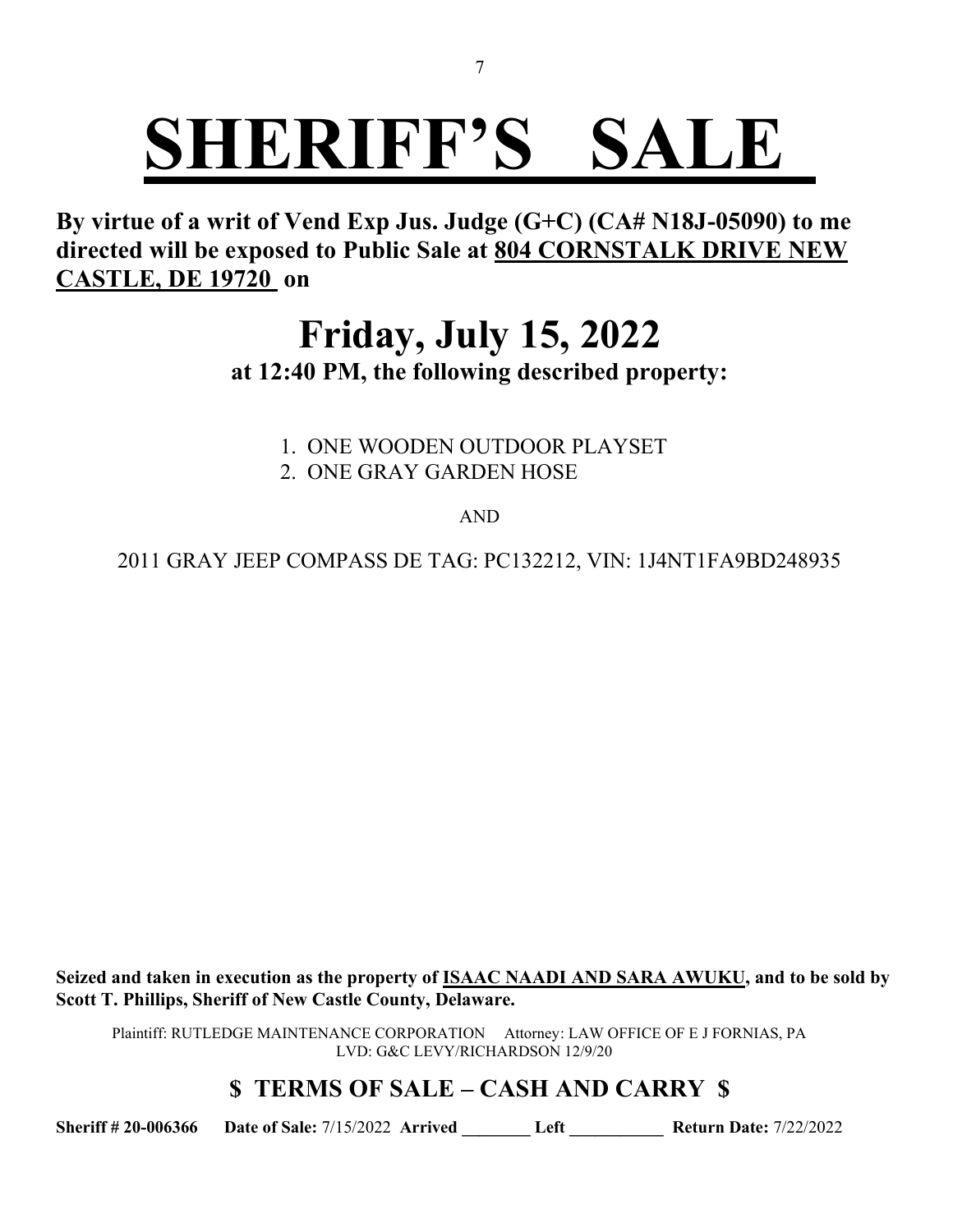**By virtue of a writ of Vend Exp Jus. Judge (G+C) (CA# N18J-05090) to me directed will be exposed to Public Sale at 804 CORNSTALK DRIVE NEW CASTLE, DE 19720 on**

### **Friday, July 15, 2022 at 12:40 PM, the following described property:**

1. ONE WOODEN OUTDOOR PLAYSET 2. ONE GRAY GARDEN HOSE

AND

2011 GRAY JEEP COMPASS DE TAG: PC132212, VIN: 1J4NT1FA9BD248935

**Seized and taken in execution as the property of ISAAC NAADI AND SARA AWUKU, and to be sold by Scott T. Phillips, Sheriff of New Castle County, Delaware.**

Plaintiff: RUTLEDGE MAINTENANCE CORPORATION Attorney: LAW OFFICE OF E J FORNIAS, PA LVD: G&C LEVY/RICHARDSON 12/9/20

### **\$ TERMS OF SALE – CASH AND CARRY \$**

**Sheriff # 20-006366 Date of Sale:** 7/15/2022 **Arrived \_\_\_\_\_\_\_\_ Left \_\_\_\_\_\_\_\_\_\_\_ Return Date:** 7/22/2022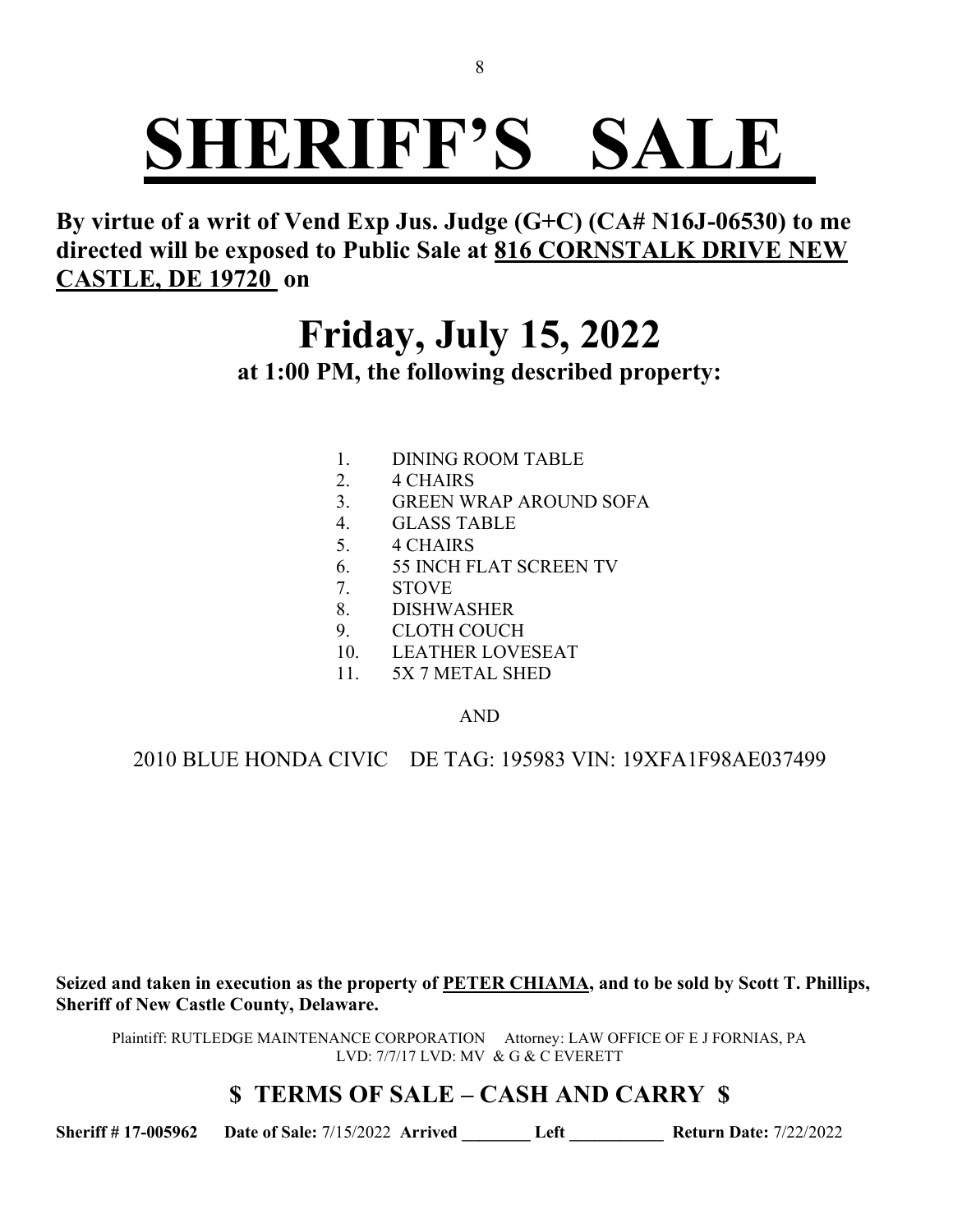**By virtue of a writ of Vend Exp Jus. Judge (G+C) (CA# N16J-06530) to me directed will be exposed to Public Sale at 816 CORNSTALK DRIVE NEW CASTLE, DE 19720 on**

## **Friday, July 15, 2022**

**at 1:00 PM, the following described property:**

- 1. DINING ROOM TABLE
- 2. 4 CHAIRS
- 3. GREEN WRAP AROUND SOFA
- 4. GLASS TABLE
- 5. 4 CHAIRS
- 6. 55 INCH FLAT SCREEN TV
- 7. STOVE
- 8. DISHWASHER
- 9. CLOTH COUCH
- 10. LEATHER LOVESEAT
- 11. 5X 7 METAL SHED

AND

2010 BLUE HONDA CIVIC DE TAG: 195983 VIN: 19XFA1F98AE037499

**Seized and taken in execution as the property of PETER CHIAMA, and to be sold by Scott T. Phillips, Sheriff of New Castle County, Delaware.**

Plaintiff: RUTLEDGE MAINTENANCE CORPORATION Attorney: LAW OFFICE OF E J FORNIAS, PA LVD: 7/7/17 LVD: MV & G & C EVERETT

#### **\$ TERMS OF SALE – CASH AND CARRY \$**

**Sheriff # 17-005962 Date of Sale:** 7/15/2022 **Arrived \_\_\_\_\_\_\_\_ Left \_\_\_\_\_\_\_\_\_\_\_ Return Date:** 7/22/2022